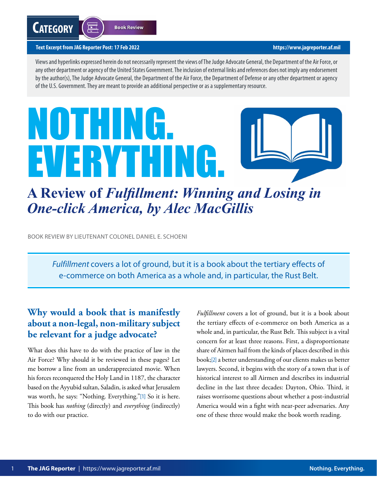#### <span id="page-0-0"></span>**Text Excerpt from JAG Reporter Post: 17 Feb 2022 <https://www.jagreporter.af.mil>**

 $\overline{\phantom{1}}$ 

Views and hyperlinks expressed herein do not necessarily represent the views of The Judge Advocate General, the Department of the Air Force, or any other department or agency of the United States Government. The inclusion of external links and references does not imply any endorsement by the author(s), The Judge Advocate General, the Department of the Air Force, the Department of Defense or any other department or agency of the U.S. Government. They are meant to provide an additional perspective or as a supplementary resource.

# NOTHING. EVERYTHING.



## **A Review of** *Fulfillment: Winning and Losing in One-click America, by Alec MacGillis*

BOOK REVIEW BY LIEUTENANT COLONEL DANIEL E. SCHOENI

*Fulfillment* covers a lot of ground, but it is a book about the tertiary effects of e-commerce on both America as a whole and, in particular, the Rust Belt.

### **Why would a book that is manifestly about a non-legal, non-military subject be relevant for a judge advocate?**

What does this have to do with the practice of law in the Air Force? Why should it be reviewed in these pages? Let me borrow a line from an underappreciated movie. When his forces reconquered the Holy Land in 1187, the character based on the Ayyubid sultan, Saladin, is asked what Jerusalem was worth, he says: "Nothing. Everything."[\[1\]](#page-3-0) So it is here. This book has *nothing* (directly) and *everything* (indirectly) to do with our practice.

*Fulfillment* covers a lot of ground, but it is a book about the tertiary effects of e-commerce on both America as a whole and, in particular, the Rust Belt. This subject is a vital concern for at least three reasons. First, a disproportionate share of Airmen hail from the kinds of places described in this book;[\[2\]](#page-3-0) a better understanding of our clients makes us better lawyers. Second, it begins with the story of a town that is of historical interest to all Airmen and describes its industrial decline in the last three decades: Dayton, Ohio. Third, it raises worrisome questions about whether a post-industrial America would win a fight with near-peer adversaries. Any one of these three would make the book worth reading.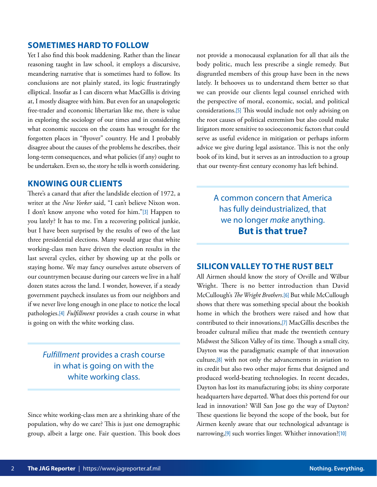#### <span id="page-1-0"></span>**SOMETIMES HARD TO FOLLOW**

Yet I also find this book maddening. Rather than the linear reasoning taught in law school, it employs a discursive, meandering narrative that is sometimes hard to follow. Its conclusions are not plainly stated, its logic frustratingly elliptical. Insofar as I can discern what MacGillis is driving at, I mostly disagree with him. But even for an unapologetic free-trader and economic libertarian like me, there is value in exploring the sociology of our times and in considering what economic success on the coasts has wrought for the forgotten places in "flyover" country. He and I probably disagree about the causes of the problems he describes, their long-term consequences, and what policies (if any) ought to be undertaken. Even so, the story he tells is worth considering.

#### **KNOWING OUR CLIENTS**

There's a canard that after the landslide election of 1972, a writer at the *New Yorker* said, "I can't believe Nixon won. I don't know anyone who voted for him."[\[3\]](#page-3-0) Happen to you lately? It has to me. I'm a recovering political junkie, but I have been surprised by the results of two of the last three presidential elections. Many would argue that white working-class men have driven the election results in the last several cycles, either by showing up at the polls or staying home. We may fancy ourselves astute observers of our countrymen because during our careers we live in a half dozen states across the land. I wonder, however, if a steady government paycheck insulates us from our neighbors and if we never live long enough in one place to notice the local pathologies.[\[4\]](#page-3-0) *Fulfillment* provides a crash course in what is going on with the white working class.

*Fulfillment* provides a crash course in what is going on with the white working class.

Since white working-class men are a shrinking share of the population, why do we care? This is just one demographic group, albeit a large one. Fair question. This book does

not provide a monocausal explanation for all that ails the body politic, much less prescribe a single remedy. But disgruntled members of this group have been in the news lately. It behooves us to understand them better so that we can provide our clients legal counsel enriched with the perspective of moral, economic, social, and political considerations.[\[5\]](#page-3-0) This would include not only advising on the root causes of political extremism but also could make litigators more sensitive to socioeconomic factors that could serve as useful evidence in mitigation or perhaps inform advice we give during legal assistance. This is not the only book of its kind, but it serves as an introduction to a group that our twenty-first century economy has left behind.

> A common concern that America has fully deindustrialized, that we no longer *make* anything. **But is that true?**

#### **SILICON VALLEY TO THE RUST BELT**

All Airmen should know the story of Orville and Wilbur Wright. There is no better introduction than David McCullough's *The Wright Brothers*.[\[6\]](#page-3-0) But while McCullough shows that there was something special about the bookish home in which the brothers were raised and how that contributed to their innovations,[\[7\]](#page-3-0) MacGillis describes the broader cultural milieu that made the twentieth century Midwest the Silicon Valley of its time. Though a small city, Dayton was the paradigmatic example of that innovation culture,[\[8\]](#page-3-0) with not only the advancements in aviation to its credit but also two other major firms that designed and produced world-beating technologies. In recent decades, Dayton has lost its manufacturing jobs; its shiny corporate headquarters have departed. What does this portend for our lead in innovation? Will San Jose go the way of Dayton? These questions lie beyond the scope of the book, but for Airmen keenly aware that our technological advantage is narrowing,[\[9\]](#page-3-0) such worries linger. Whither innovation?[\[10\]](#page-3-0)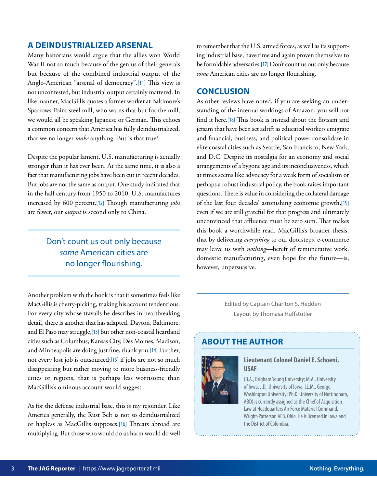#### <span id="page-2-0"></span>**A DEINDUSTRIALIZED ARSENAL**

Many historians would argue that the allies won World War II not so much because of the genius of their generals but because of the combined industrial output of the Anglo-American "arsenal of democracy".[\[11\]](#page-3-0) This view is not uncontested, but industrial output certainly mattered. In like manner, MacGillis quotes a former worker at Baltimore's Sparrows Point steel mill, who warns that but for the mill, we would all be speaking Japanese or German. This echoes a common concern that America has fully deindustrialized, that we no longer *make* anything. But is that true?

Despite the popular lament, U.S. manufacturing is actually stronger than it has ever been. At the same time, it is also a fact that manufacturing jobs have been cut in recent decades. But jobs are not the same as output. One study indicated that in the half century from 1950 to 2010, U.S. manufactures increased by 600 percent.[\[12\]](#page-3-0) Though manufacturing *jobs* are fewer, our *output* is second only to China.

#### Don't count us out only because *some* American cities are no longer flourishing.

Another problem with the book is that it sometimes feels like MacGillis is cherry-picking, making his account tendentious. For every city whose travails he describes in heartbreaking detail, there is another that has adapted. Dayton, Baltimore, and El Paso may struggle,[\[13\]](#page-3-0) but other non-coastal heartland cities such as Columbus, Kansas City, Des Moines, Madison, and Minneapolis are doing just fine, thank you.[\[14\]](#page-3-0) Further, not every lost job is outsourced;[\[15\]](#page-4-0) if jobs are not so much disappearing but rather moving to more business-friendly cities or regions, that is perhaps less worrisome than MacGillis's ominous account would suggest.

As for the defense industrial base, this is my rejoinder. Like America generally, the Rust Belt is not so deindustrialized or hapless as MacGillis supposes.[\[16\]](#page-4-0) Threats abroad are multiplying. But those who would do us harm would do well

to remember that the U.S. armed forces, as well as its supporting industrial base, have time and again proven themselves to be formidable adversaries.[\[17\]](#page-4-0) Don't count us out only because *some* American cities are no longer flourishing.

#### **CONCLUSION**

As other reviews have noted, if you are seeking an understanding of the internal workings of Amazon, you will not find it here.[\[18\]](#page-4-0) This book is instead about the flotsam and jetsam that have been set adrift as educated workers emigrate and financial, business, and political power consolidate in elite coastal cities such as Seattle, San Francisco, New York, and D.C. Despite its nostalgia for an economy and social arrangements of a bygone age and its inconclusiveness, which at times seems like advocacy for a weak form of socialism or perhaps a robust industrial policy, the book raises important questions. There is value in considering the collateral damage of the last four decades' astonishing economic growth,[\[19\]](#page-4-0) even if we are still grateful for that progress and ultimately unconvinced that affluence must be zero sum. That makes this book a worthwhile read. MacGillis's broader thesis, that by delivering *everything* to our doorsteps, e-commerce may leave us with *nothing—*bereft of remunerative work, domestic manufacturing, even hope for the future—is, however, unpersuasive.

> Edited by Captain Charlton S. Hedden Layout by Thomasa Huffstutler

#### **ABOUT THE AUTHOR**



#### **Lieutenant Colonel Daniel E. Schoeni, USAF**

(B.A., Brigham Young University; M.A., University of Iowa; J.D., University of Iowa; LL.M., George Washington University; Ph.D. University of Nottingham, ABD) is currently assigned as the Chief of Acquisition Law at Headquarters Air Force Materiel Command, Wright-Patterson AFB, Ohio. He is licensed in Iowa and the District of Columbia.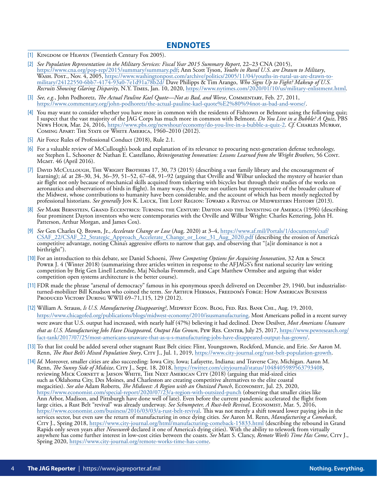- <span id="page-3-0"></span>[\[1\]](#page-0-0) KINGDOM OF HEAVEN (Twentieth Century Fox 2005).
- [\[2\]](#page-0-0) *See Population Representation in the Military Services: Fiscal Year 2015 Summary Report*, 22–23 CNA (2015), [https://www.cna.org/pop-rep/2015/summary/summary.pdf;](https://www.cna.org/pop-rep/2015/summary/summary.pdf) Ann Scott Tyson, *Youths in Rural U.S. are Drawn to Military*, [Wash. Post., Nov. 4, 2005, https://www.washingtonpost.com/archive/politics/2005/11/04/youths-in-rural-us-are-drawn-to](https://www.washingtonpost.com/archive/politics/2005/11/04/youths-in-rural-us-are-drawn-to-military/24122550-6bb7-4174-93a0-7e1d91a78b2d/)military/24122550-6bb7-4174-93a0-7e1d91a78b2d/ Dave Philipps & Tim Arango, *Who Signs Up to Fight? Makeup of U.S. Recruits Showing Glaring Disparity*, N.Y. Times, Jan. 10, 2020, [https://www.nytimes.com/2020/01/10/us/military-enlistment.html.](https://www.nytimes.com/2020/01/10/us/military-enlistment.html)
- [\[3\]](#page-1-0) *See, e.g.*, John Podhoretz, *The Actual Pauline Kael Quote—Not as Bad, and Worse*, Commentary, Feb. 27, 2011, <https://www.commentary.org/john-podhoretz/the-actual-pauline-kael-quote%E2%80%94not-as-bad-and-worse/>.
- [\[4\]](#page-1-0) You may want to consider whether you have more in common with the residents of Fishtown or Belmont using the following quiz; I suspect that the vast majority of the JAG Corps has much more in common with Belmont. *Do You Live in a Bubble? A Quiz*, PBS News Hour, Mar. 24, 2016, [https://www.pbs.org/newshour/economy/do-you-live-in-a-bubble-a-quiz-2.](https://www.pbs.org/newshour/economy/do-you-live-in-a-bubble-a-quiz-2) *Cf.* Charles Murray, COMING APART: THE STATE OF WHITE AMERICA, 1960-2010 (2012).
- [\[5\]](#page-1-0) Air Force Rules of Professional Conduct (2018), Rule 2.1.
- [\[6\]](#page-1-0) For a valuable review of McCullough's book and explanation of its relevance to procuring next-generation defense technology, see Stephen L. Schooner & Nathan E. Castellano, *Reinvigorating Innovation: Lessons Learned from the Wright Brothers*, 56 Cont. Mgmt. 46 (April 2016).
- [\[7\]](#page-1-0) DAVID McCULLOUGH, THE WRIGHT BROTHERS 17, 30, 73 (2015) (describing a vast family library and the encouragement of learning); *id.* at 28–30, 34, 36–39, 51–52, 67–68, 91–92 (arguing that Orville and Wilbur unlocked the mystery of heavier than air flight not only because of mechanical skills acquired from tinkering with bicycles but through their studies of the works on aeronautics and observations of birds in flight). In many ways, they were not outliers but representative of the broader culture of the Midwest, whose contributions to humanity have been considerable, and the account of which has been mostly neglected by professional historians. *See generally* JON K. LAUCK, THE LOST REGION: TOWARD A REVIVAL OF MIDWESTERN HISTORY (2013).
- [\[8\]](#page-1-0) *See* Mark Bernstein, Grand Eccentrics: Turning the Century: Dayton and the Inventing of America (1996) (describing four prominent Dayton inventors who were contemporaries with the Orville and Wilbur Wright: Charles Kettering, John H. Patterson, Arthur Morgan, and James Cox).
- [\[9\]](#page-1-0) *See* Gen Charles Q. Brown, Jr., *Accelerate Change or Lose* (Aug. 2020) at 3–4, https://www.af.mil/Portals/1/documents/csaf/ [CSAF\\_22/CSAF\\_22\\_Strategic\\_Approach\\_Accelerate\\_Change\\_or\\_Lose\\_31\\_Aug\\_2020.pdf \(describing the erosion of Amer](https://www.af.mil/Portals/1/documents/csaf/CSAF_22/CSAF_22_Strategic_Approach_Accelerate_Change_or_Lose_31_Aug_2020.pdf)ica's competitive advantage, noting China's aggressive efforts to narrow that gap, and observing that "[a]ir dominance is not a birthright").
- [\[10\]](#page-1-0) For an introduction to this debate, see Daniel Schoeni, *Three Competing Options for Acquiring Innovation*, 32 Air & Space Power J. 4 (Winter 2018) (summarizing three articles written in response to the AFJAGS's first national security law writing competition by Brig Gen Linell Letendre, Maj Nicholas Frommelt, and Capt Matthew Ormsbee and arguing that wider competition open systems architecture is the better course).
- [\[11\]](#page-2-0) FDR made the phrase "arsenal of democracy" famous in his eponymous speech delivered on December 29, 1940, but industrialistturned-mobilizer Bill Knudson who coined the term. *See* Arthur Herman, Freedom's Forge: How American Business PRODUCED VICTORY DURING WWII 69-71,115, 129 (2012).
- [\[12\]](#page-2-0) William A. Strauss, *Is U.S. Manufacturing Disappearing?*, MIDWEST ECON. BLOG, FED. RES. BANK CHI., Aug. 19, 2010, <https://www.chicagofed.org/publications/blogs/midwest-economy/2010/isusmanufacturing>. Most Americans polled in a recent survey were aware that U.S. output had increased, with nearly half (47%) believing it had declined. Drew Desilver, *Most Americans Unaware that as U.S. Manufacturing Jobs Have Disappeared, Output Has Grown*, Pew Res. Center, July 25, 2017, https://www.pewresearch.org/ [fact-tank/2017/07/25/most-americans-unaware-that-as-u-s-manufacturing-jobs-have-disappeared-output-has-grown/.](https://www.pewresearch.org/fact-tank/2017/07/25/most-americans-unaware-that-as-u-s-manufacturing-jobs-have-disappeared-output-has-grown/)
- [\[13\]](#page-2-0) To that list could be added several other stagnant Rust Belt cities: Flint, Youngstown, Rockford, Muncie, and Erie. *See* Aaron M. Renn, *The Rust Belt's Mixed Population Story*, City J., Jul. 1, 2019,<https://www.city-journal.org/rust-belt-population-growth>.
- [\[14\]](#page-2-0) *Id.* Moreover, smaller cities are also succeeding: Iowa City, Iowa; Lafayette, Indiana; and Traverse City, Michigan. Aaron M. Renn, *The Sunny Side of Midsize*, City J., Sept. 18, 2018,<https://twitter.com/cityjournal/status/1048405989563793408>, reviewing Mick Cornett & Jayson White, The Next American City (2018) (arguing that mid-sized cities such as Oklahoma City, Des Moines, and Charleston are creating competitive alternatives to the elite coastal megacities). *See also* Adam Roberts, *The Midwest: A Region with an Outsized Punch*, Economist, Jul. 23, 2020, <https://www.economist.com/special-report/2020/07/23/a-region-with-outsized-punch> (observing that smaller cities like Ann Arbor, Madison, and Pittsburgh have done well of late). Even before the current pandemic accelerated the flight from large cities, a Rust Belt "revival" was already underway. *See Schumpeter, A Rust-belt Revival*, Economist, Mar. 5, 2016, [https://www.economist.com/business/2016/03/03/a-rust-belt-revival.](https://www.economist.com/business/2016/03/03/a-rust-belt-revival) This was not merely a shift toward lower paying jobs in the services sector, but even saw the return of manufacturing in once dying cities. See Aaron M. Re Crry J., Spring 2018,<https://www.city-journal.org/html/manufacturing-comeback-15833.html>(describing the rebound in Grand Rapids only seven years after *Newsweek* declared it one of America's dying cities). With the ability to telework from virtually anywhere has come further interest in low-cost cities between the coasts. *See* Matt S. Clancy, *Remote Work's Time Has Come*, City J., Spring 2020, <https://www.city-journal.org/remote-works-time-has-come>.